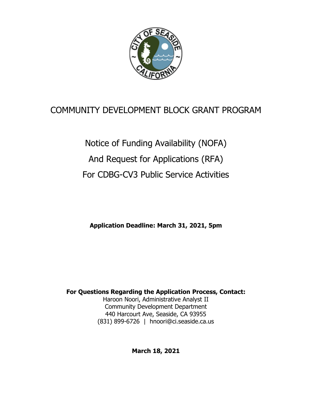

# COMMUNITY DEVELOPMENT BLOCK GRANT PROGRAM

Notice of Funding Availability (NOFA) And Request for Applications (RFA) For CDBG-CV3 Public Service Activities

**Application Deadline: March 31, 2021, 5pm**

**For Questions Regarding the Application Process, Contact:** Haroon Noori, Administrative Analyst II Community Development Department 440 Harcourt Ave, Seaside, CA 93955 (831) 899-6726 | hnoori@ci.seaside.ca.us

**March 18, 2021**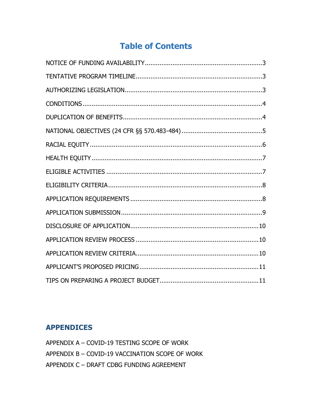# **Table of Contents**

# **APPENDICES**

APPENDIX A - COVID-19 TESTING SCOPE OF WORK APPENDIX B - COVID-19 VACCINATION SCOPE OF WORK APPENDIX C - DRAFT CDBG FUNDING AGREEMENT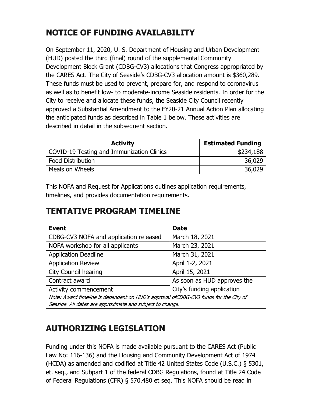# <span id="page-2-0"></span>**NOTICE OF FUNDING AVAILABILITY**

On September 11, 2020, U. S. Department of Housing and Urban Development (HUD) posted the third (final) round of the supplemental Community Development Block Grant (CDBG-CV3) allocations that Congress appropriated by the CARES Act. The City of Seaside's CDBG-CV3 allocation amount is \$360,289. These funds must be used to prevent, prepare for, and respond to coronavirus as well as to benefit low- to moderate-income Seaside residents. In order for the City to receive and allocate these funds, the Seaside City Council recently approved a Substantial Amendment to the FY20-21 Annual Action Plan allocating the anticipated funds as described in Table 1 below. These activities are described in detail in the subsequent section.

| <b>Activity</b>                           | <b>Estimated Funding</b> |
|-------------------------------------------|--------------------------|
| COVID-19 Testing and Immunization Clinics | \$234,188                |
| <b>Food Distribution</b>                  | 36,029                   |
| Meals on Wheels                           | 36,029                   |

This NOFA and Request for Applications outlines application requirements, timelines, and provides documentation requirements.

# <span id="page-2-1"></span>**TENTATIVE PROGRAM TIMELINE**

| <b>Event</b>                                                                         | <b>Date</b>                 |  |
|--------------------------------------------------------------------------------------|-----------------------------|--|
| CDBG-CV3 NOFA and application released                                               | March 18, 2021              |  |
| NOFA workshop for all applicants                                                     | March 23, 2021              |  |
| <b>Application Deadline</b>                                                          | March 31, 2021              |  |
| <b>Application Review</b>                                                            | April 1-2, 2021             |  |
| <b>City Council hearing</b>                                                          | April 15, 2021              |  |
| Contract award                                                                       | As soon as HUD approves the |  |
| Activity commencement                                                                | City's funding application  |  |
| Note: Award timeline is dependent on HUD's approval ofCDBG-CV3 funds for the City of |                             |  |
| Seaside. All dates are approximate and subject to change.                            |                             |  |

# <span id="page-2-2"></span>**AUTHORIZING LEGISLATION**

Funding under this NOFA is made available pursuant to the CARES Act (Public Law No: 116-136) and the Housing and Community Development Act of 1974 (HCDA) as amended and codified at Title 42 United States Code (U.S.C.) § 5301, et. seq., and Subpart 1 of the federal CDBG Regulations, found at Title 24 Code of Federal Regulations (CFR) § 570.480 et seq. This NOFA should be read in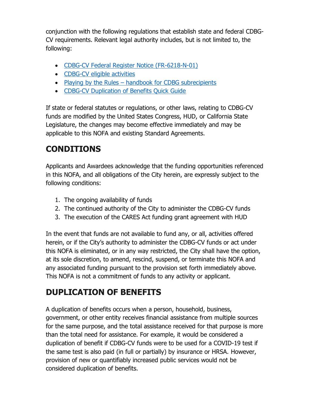conjunction with the following regulations that establish state and federal CDBG-CV requirements. Relevant legal authority includes, but is not limited to, the following:

- [CDBG-CV Federal Register Notice \(FR-6218-N-01\)](https://www.hud.gov/sites/dfiles/CPD/documents/CDBG-CV_Notice_Federal_Register_Publication_2002-08.pdf)
- [CDBG-CV eligible activities](https://www.hud.gov/sites/dfiles/CPD/documents/DOB-TA-CDBG-summary-table-Notes-06232020-Attachment.pdf)
- Playing by the Rules [handbook for CDBG subrecipients](https://files.hudexchange.info/resources/documents/Playing-By-the-Rules-a-Handbook-for-CDBG-Subrecipients-On-Administrative-Systems.pdf)
- CDBG-CV Duplication of Benefits Ouick Guide

If state or federal statutes or regulations, or other laws, relating to CDBG-CV funds are modified by the United States Congress, HUD, or California State Legislature, the changes may become effective immediately and may be applicable to this NOFA and existing Standard Agreements.

# <span id="page-3-0"></span>**CONDITIONS**

Applicants and Awardees acknowledge that the funding opportunities referenced in this NOFA, and all obligations of the City herein, are expressly subject to the following conditions:

- 1. The ongoing availability of funds
- 2. The continued authority of the City to administer the CDBG-CV funds
- 3. The execution of the CARES Act funding grant agreement with HUD

In the event that funds are not available to fund any, or all, activities offered herein, or if the City's authority to administer the CDBG-CV funds or act under this NOFA is eliminated, or in any way restricted, the City shall have the option, at its sole discretion, to amend, rescind, suspend, or terminate this NOFA and any associated funding pursuant to the provision set forth immediately above. This NOFA is not a commitment of funds to any activity or applicant.

# <span id="page-3-1"></span>**DUPLICATION OF BENEFITS**

A duplication of benefits occurs when a person, household, business, government, or other entity receives financial assistance from multiple sources for the same purpose, and the total assistance received for that purpose is more than the total need for assistance. For example, it would be considered a duplication of benefit if CDBG-CV funds were to be used for a COVID-19 test if the same test is also paid (in full or partially) by insurance or HRSA. However, provision of new or quantifiably increased public services would not be considered duplication of benefits.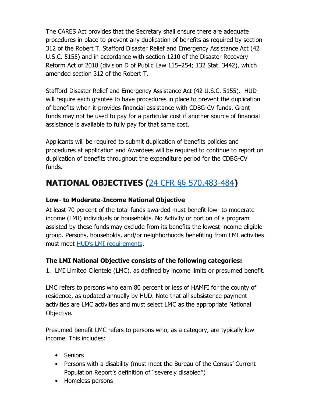The CARES Act provides that the Secretary shall ensure there are adequate procedures in place to prevent any duplication of benefits as required by section 312 of the Robert T. Stafford Disaster Relief and Emergency Assistance Act (42 U.S.C. 5155) and in accordance with section 1210 of the Disaster Recovery Reform Act of 2018 (division D of Public Law 115–254; 132 Stat. 3442), which amended section 312 of the Robert T.

Stafford Disaster Relief and Emergency Assistance Act (42 U.S.C. 5155). HUD will require each grantee to have procedures in place to prevent the duplication of benefits when it provides financial assistance with CDBG-CV funds. Grant funds may not be used to pay for a particular cost if another source of financial assistance is available to fully pay for that same cost.

Applicants will be required to submit duplication of benefits policies and procedures at application and Awardees will be required to continue to report on duplication of benefits throughout the expenditure period for the CDBG-CV funds.

# <span id="page-4-0"></span>**NATIONAL OBJECTIVES (**[24 CFR §§ 570.483-484](https://www.law.cornell.edu/cfr/text/24/570.483)**)**

## **Low- to Moderate-Income National Objective**

At least 70 percent of the total funds awarded must benefit low- to moderate income (LMI) individuals or households. No Activity or portion of a program assisted by these funds may exclude from its benefits the lowest-income eligible group. Persons, households, and/or neighborhoods benefiting from LMI activities must meet [HUD's LMI requirements](https://hcd.ca.gov/grants-funding/income-limits/state-and-federal-income-limits.shtml).

## **The LMI National Objective consists of the following categories:**

1. LMI Limited Clientele (LMC), as defined by income limits or presumed benefit.

LMC refers to persons who earn 80 percent or less of HAMFI for the county of residence, as updated annually by HUD. Note that all subsistence payment activities are LMC activities and must select LMC as the appropriate National Objective.

Presumed benefit LMC refers to persons who, as a category, are typically low income. This includes:

- Seniors
- Persons with a disability (must meet the Bureau of the Census' Current Population Report's definition of "severely disabled")
- Homeless persons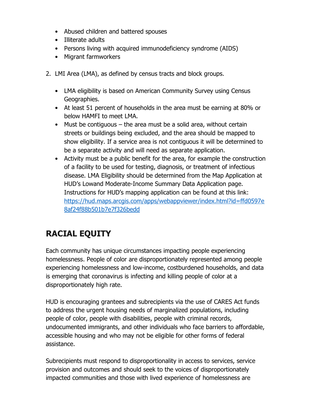- Abused children and battered spouses
- Illiterate adults
- Persons living with acquired immunodeficiency syndrome (AIDS)
- Migrant farmworkers
- 2. LMI Area (LMA), as defined by census tracts and block groups.
	- LMA eligibility is based on American Community Survey using Census Geographies.
	- At least 51 percent of households in the area must be earning at 80% or below HAMFI to meet LMA.
	- Must be contiguous  $-$  the area must be a solid area, without certain streets or buildings being excluded, and the area should be mapped to show eligibility. If a service area is not contiguous it will be determined to be a separate activity and will need as separate application.
	- Activity must be a public benefit for the area, for example the construction of a facility to be used for testing, diagnosis, or treatment of infectious disease. LMA Eligibility should be determined from the Map Application at HUD's Lowand Moderate-Income Summary Data Application page. Instructions for HUD's mapping application can be found at this link: [https://hud.maps.arcgis.com/apps/webappviewer/index.html?id=ffd0597e](https://hud.maps.arcgis.com/apps/webappviewer/index.html?id=ffd0597e8af24f88b501b7e7f326bedd) [8af24f88b501b7e7f326bedd](https://hud.maps.arcgis.com/apps/webappviewer/index.html?id=ffd0597e8af24f88b501b7e7f326bedd)

# <span id="page-5-0"></span>**RACIAL EQUITY**

Each community has unique circumstances impacting people experiencing homelessness. People of color are disproportionately represented among people experiencing homelessness and low-income, costburdened households, and data is emerging that coronavirus is infecting and killing people of color at a disproportionately high rate.

HUD is encouraging grantees and subrecipients via the use of CARES Act funds to address the urgent housing needs of marginalized populations, including people of color, people with disabilities, people with criminal records, undocumented immigrants, and other individuals who face barriers to affordable, accessible housing and who may not be eligible for other forms of federal assistance.

Subrecipients must respond to disproportionality in access to services, service provision and outcomes and should seek to the voices of disproportionately impacted communities and those with lived experience of homelessness are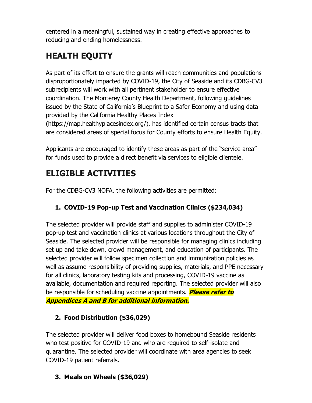centered in a meaningful, sustained way in creating effective approaches to reducing and ending homelessness.

# <span id="page-6-0"></span>**HEALTH EQUITY**

As part of its effort to ensure the grants will reach communities and populations disproportionately impacted by COVID-19, the City of Seaside and its CDBG-CV3 subrecipients will work with all pertinent stakeholder to ensure effective coordination. The Monterey County Health Department, following guidelines issued by the State of California's Blueprint to a Safer Economy and using data provided by the California Healthy Places Index

(https://map.healthyplacesindex.org/), has identified certain census tracts that are considered areas of special focus for County efforts to ensure Health Equity.

Applicants are encouraged to identify these areas as part of the "service area" for funds used to provide a direct benefit via services to eligible clientele.

# <span id="page-6-1"></span>**ELIGIBLE ACTIVITIES**

For the CDBG-CV3 NOFA, the following activities are permitted:

# **1. COVID-19 Pop-up Test and Vaccination Clinics (\$234,034)**

The selected provider will provide staff and supplies to administer COVID-19 pop-up test and vaccination clinics at various locations throughout the City of Seaside. The selected provider will be responsible for managing clinics including set up and take down, crowd management, and education of participants. The selected provider will follow specimen collection and immunization policies as well as assume responsibility of providing supplies, materials, and PPE necessary for all clinics, laboratory testing kits and processing, COVID-19 vaccine as available, documentation and required reporting. The selected provider will also be responsible for scheduling vaccine appointments. **Please refer to** 

**Appendices A and B for additional information.**

# **2. Food Distribution (\$36,029)**

The selected provider will deliver food boxes to homebound Seaside residents who test positive for COVID-19 and who are required to self-isolate and quarantine. The selected provider will coordinate with area agencies to seek COVID-19 patient referrals.

# **3. Meals on Wheels (\$36,029)**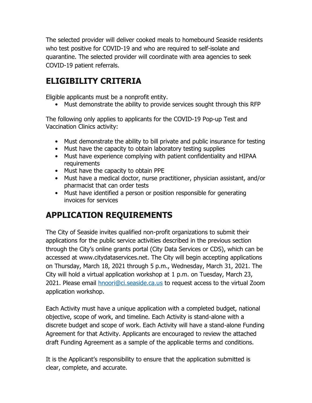The selected provider will deliver cooked meals to homebound Seaside residents who test positive for COVID-19 and who are required to self-isolate and quarantine. The selected provider will coordinate with area agencies to seek COVID-19 patient referrals.

# <span id="page-7-0"></span>**ELIGIBILITY CRITERIA**

Eligible applicants must be a nonprofit entity.

• Must demonstrate the ability to provide services sought through this RFP

The following only applies to applicants for the COVID-19 Pop-up Test and Vaccination Clinics activity:

- Must demonstrate the ability to bill private and public insurance for testing
- Must have the capacity to obtain laboratory testing supplies
- Must have experience complying with patient confidentiality and HIPAA requirements
- Must have the capacity to obtain PPE
- Must have a medical doctor, nurse practitioner, physician assistant, and/or pharmacist that can order tests
- Must have identified a person or position responsible for generating invoices for services

# <span id="page-7-1"></span>**APPLICATION REQUIREMENTS**

The City of Seaside invites qualified non-profit organizations to submit their applications for the public service activities described in the previous section through the City's online grants portal (City Data Services or CDS), which can be accessed at www.citydataservices.net. The City will begin accepting applications on Thursday, March 18, 2021 through 5 p.m., Wednesday, March 31, 2021. The City will hold a virtual application workshop at 1 p.m. on Tuesday, March 23, 2021. Please email [hnoori@ci.seaside.ca.us](mailto:hnoori@ci.seaside.ca.us) to request access to the virtual Zoom application workshop.

Each Activity must have a unique application with a completed budget, national objective, scope of work, and timeline. Each Activity is stand-alone with a discrete budget and scope of work. Each Activity will have a stand-alone Funding Agreement for that Activity. Applicants are encouraged to review the attached draft Funding Agreement as a sample of the applicable terms and conditions.

It is the Applicant's responsibility to ensure that the application submitted is clear, complete, and accurate.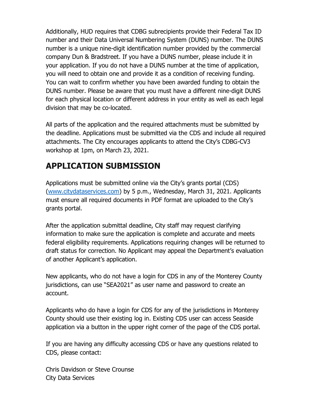Additionally, HUD requires that CDBG subrecipients provide their Federal Tax ID number and their Data Universal Numbering System (DUNS) number. The DUNS number is a unique nine‐digit identification number provided by the commercial company Dun & Bradstreet. If you have a DUNS number, please include it in your application. If you do not have a DUNS number at the time of application, you will need to obtain one and provide it as a condition of receiving funding. You can wait to confirm whether you have been awarded funding to obtain the DUNS number. Please be aware that you must have a different nine‐digit DUNS for each physical location or different address in your entity as well as each legal division that may be co‐located.

All parts of the application and the required attachments must be submitted by the deadline. Applications must be submitted via the CDS and include all required attachments. The City encourages applicants to attend the City's CDBG-CV3 workshop at 1pm, on March 23, 2021.

# <span id="page-8-0"></span>**APPLICATION SUBMISSION**

Applications must be submitted online via the City's grants portal (CDS) [\(www.citydataservices.com\)](http://www.citydataservices.com/) by 5 p.m., Wednesday, March 31, 2021. Applicants must ensure all required documents in PDF format are uploaded to the City's grants portal.

After the application submittal deadline, City staff may request clarifying information to make sure the application is complete and accurate and meets federal eligibility requirements. Applications requiring changes will be returned to draft status for correction. No Applicant may appeal the Department's evaluation of another Applicant's application.

New applicants, who do not have a login for CDS in any of the Monterey County jurisdictions, can use "SEA2021" as user name and password to create an account.

Applicants who do have a login for CDS for any of the jurisdictions in Monterey County should use their existing log in. Existing CDS user can access Seaside application via a button in the upper right corner of the page of the CDS portal.

If you are having any difficulty accessing CDS or have any questions related to CDS, please contact:

Chris Davidson or Steve Crounse City Data Services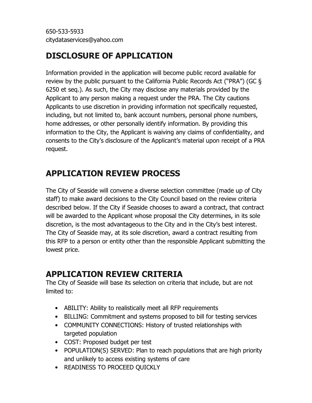# <span id="page-9-0"></span>**DISCLOSURE OF APPLICATION**

Information provided in the application will become public record available for review by the public pursuant to the California Public Records Act ("PRA") (GC § 6250 et seq.). As such, the City may disclose any materials provided by the Applicant to any person making a request under the PRA. The City cautions Applicants to use discretion in providing information not specifically requested, including, but not limited to, bank account numbers, personal phone numbers, home addresses, or other personally identify information. By providing this information to the City, the Applicant is waiving any claims of confidentiality, and consents to the City's disclosure of the Applicant's material upon receipt of a PRA request.

# <span id="page-9-1"></span>**APPLICATION REVIEW PROCESS**

The City of Seaside will convene a diverse selection committee (made up of City staff) to make award decisions to the City Council based on the review criteria described below. If the City if Seaside chooses to award a contract, that contract will be awarded to the Applicant whose proposal the City determines, in its sole discretion, is the most advantageous to the City and in the City's best interest. The City of Seaside may, at its sole discretion, award a contract resulting from this RFP to a person or entity other than the responsible Applicant submitting the lowest price.

# <span id="page-9-2"></span>**APPLICATION REVIEW CRITERIA**

The City of Seaside will base its selection on criteria that include, but are not limited to:

- ABILITY: Ability to realistically meet all RFP requirements
- BILLING: Commitment and systems proposed to bill for testing services
- COMMUNITY CONNECTIONS: History of trusted relationships with targeted population
- COST: Proposed budget per test
- POPULATION(S) SERVED: Plan to reach populations that are high priority and unlikely to access existing systems of care
- READINESS TO PROCEED QUICKLY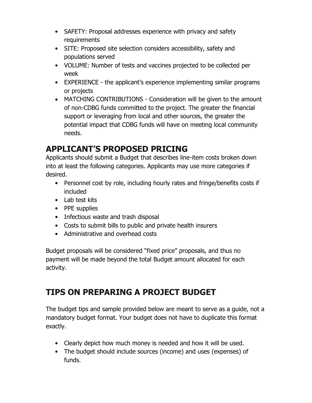- SAFETY: Proposal addresses experience with privacy and safety requirements
- SITE: Proposed site selection considers accessibility, safety and populations served
- VOLUME: Number of tests and vaccines projected to be collected per week
- EXPERIENCE the applicant's experience implementing similar programs or projects
- MATCHING CONTRIBUTIONS Consideration will be given to the amount of non‐CDBG funds committed to the project. The greater the financial support or leveraging from local and other sources, the greater the potential impact that CDBG funds will have on meeting local community needs.

# <span id="page-10-0"></span>**APPLICANT'S PROPOSED PRICING**

Applicants should submit a Budget that describes line-item costs broken down into at least the following categories. Applicants may use more categories if desired.

- Personnel cost by role, including hourly rates and fringe/benefits costs if included
- Lab test kits
- PPE supplies
- Infectious waste and trash disposal
- Costs to submit bills to public and private health insurers
- Administrative and overhead costs

Budget proposals will be considered "fixed price" proposals, and thus no payment will be made beyond the total Budget amount allocated for each activity.

# <span id="page-10-1"></span>**TIPS ON PREPARING A PROJECT BUDGET**

The budget tips and sample provided below are meant to serve as a guide, not a mandatory budget format. Your budget does not have to duplicate this format exactly.

- Clearly depict how much money is needed and how it will be used.
- The budget should include sources (income) and uses (expenses) of funds.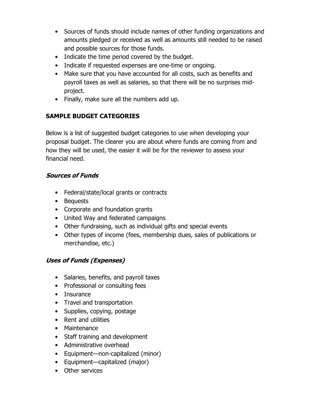- Sources of funds should include names of other funding organizations and amounts pledged or received as well as amounts still needed to be raised and possible sources for those funds.
- Indicate the time period covered by the budget.
- Indicate if requested expenses are one-time or ongoing.
- Make sure that you have accounted for all costs, such as benefits and payroll taxes as well as salaries, so that there will be no surprises mid‐ project.
- Finally, make sure all the numbers add up.

# **SAMPLE BUDGET CATEGORIES**

Below is a list of suggested budget categories to use when developing your proposal budget. The clearer you are about where funds are coming from and how they will be used, the easier it will be for the reviewer to assess your financial need.

## **Sources of Funds**

- Federal/state/local grants or contracts
- Bequests
- Corporate and foundation grants
- United Way and federated campaigns
- Other fundraising, such as individual gifts and special events
- Other types of income (fees, membership dues, sales of publications or merchandise, etc.)

## **Uses of Funds (Expenses)**

- Salaries, benefits, and payroll taxes
- Professional or consulting fees
- Insurance
- Travel and transportation
- Supplies, copying, postage
- Rent and utilities
- Maintenance
- Staff training and development
- Administrative overhead
- Equipment—non-capitalized (minor)
- Equipment—capitalized (major)
- Other services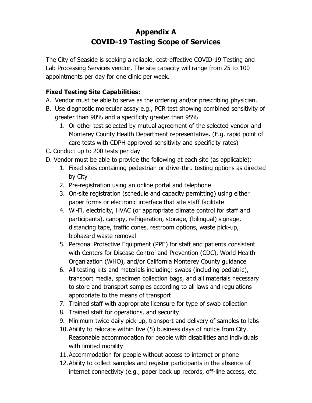# **Appendix A COVID-19 Testing Scope of Services**

The City of Seaside is seeking a reliable, cost-effective COVID-19 Testing and Lab Processing Services vendor. The site capacity will range from 25 to 100 appointments per day for one clinic per week.

## **Fixed Testing Site Capabilities:**

- A. Vendor must be able to serve as the ordering and/or prescribing physician.
- B. Use diagnostic molecular assay e.g., PCR test showing combined sensitivity of greater than 90% and a specificity greater than 95%
	- 1. Or other test selected by mutual agreement of the selected vendor and Monterey County Health Department representative. (E.g. rapid point of care tests with CDPH approved sensitivity and specificity rates)
- C. Conduct up to 200 tests per day
- D. Vendor must be able to provide the following at each site (as applicable):
	- 1. Fixed sites containing pedestrian or drive-thru testing options as directed by City
	- 2. Pre-registration using an online portal and telephone
	- 3. On-site registration (schedule and capacity permitting) using either paper forms or electronic interface that site staff facilitate
	- 4. Wi-Fi, electricity, HVAC (or appropriate climate control for staff and participants), canopy, refrigeration, storage, (bilingual) signage, distancing tape, traffic cones, restroom options, waste pick-up, biohazard waste removal
	- 5. Personal Protective Equipment (PPE) for staff and patients consistent with Centers for Disease Control and Prevention (CDC), World Health Organization (WHO), and/or California Monterey County guidance
	- 6. All testing kits and materials including: swabs (including pediatric), transport media, specimen collection bags, and all materials necessary to store and transport samples according to all laws and regulations appropriate to the means of transport
	- 7. Trained staff with appropriate licensure for type of swab collection
	- 8. Trained staff for operations, and security
	- 9. Minimum twice daily pick-up, transport and delivery of samples to labs
	- 10.Ability to relocate within five (5) business days of notice from City. Reasonable accommodation for people with disabilities and individuals with limited mobility
	- 11.Accommodation for people without access to internet or phone
	- 12.Ability to collect samples and register participants in the absence of internet connectivity (e.g., paper back up records, off-line access, etc.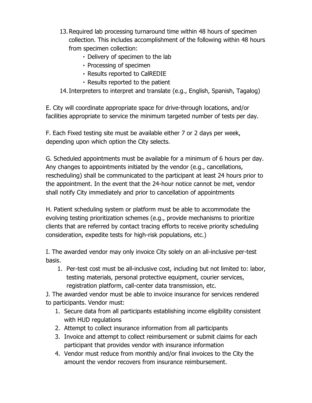- 13.Required lab processing turnaround time within 48 hours of specimen collection. This includes accomplishment of the following within 48 hours from specimen collection:
	- Delivery of specimen to the lab
	- Processing of specimen
	- Results reported to CalREDIE
	- Results reported to the patient
- 14.Interpreters to interpret and translate (e.g., English, Spanish, Tagalog)

E. City will coordinate appropriate space for drive-through locations, and/or facilities appropriate to service the minimum targeted number of tests per day.

F. Each Fixed testing site must be available either 7 or 2 days per week, depending upon which option the City selects.

G. Scheduled appointments must be available for a minimum of 6 hours per day. Any changes to appointments initiated by the vendor (e.g., cancellations, rescheduling) shall be communicated to the participant at least 24 hours prior to the appointment. In the event that the 24-hour notice cannot be met, vendor shall notify City immediately and prior to cancellation of appointments

H. Patient scheduling system or platform must be able to accommodate the evolving testing prioritization schemes (e.g., provide mechanisms to prioritize clients that are referred by contact tracing efforts to receive priority scheduling consideration, expedite tests for high-risk populations, etc.)

I. The awarded vendor may only invoice City solely on an all-inclusive per-test basis.

1. Per-test cost must be all-inclusive cost, including but not limited to: labor, testing materials, personal protective equipment, courier services, registration platform, call-center data transmission, etc.

J. The awarded vendor must be able to invoice insurance for services rendered to participants. Vendor must:

- 1. Secure data from all participants establishing income eligibility consistent with HUD regulations
- 2. Attempt to collect insurance information from all participants
- 3. Invoice and attempt to collect reimbursement or submit claims for each participant that provides vendor with insurance information
- 4. Vendor must reduce from monthly and/or final invoices to the City the amount the vendor recovers from insurance reimbursement.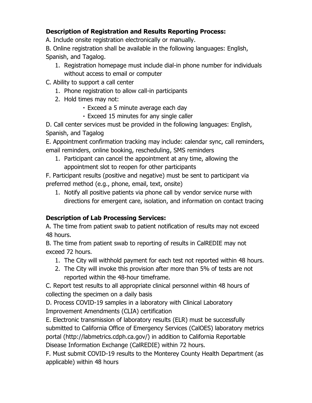## **Description of Registration and Results Reporting Process:**

A. Include onsite registration electronically or manually.

B. Online registration shall be available in the following languages: English, Spanish, and Tagalog.

- 1. Registration homepage must include dial-in phone number for individuals without access to email or computer
- C. Ability to support a call center
	- 1. Phone registration to allow call-in participants
	- 2. Hold times may not:
		- Exceed a 5 minute average each day
		- Exceed 15 minutes for any single caller

D. Call center services must be provided in the following languages: English, Spanish, and Tagalog

E. Appointment confirmation tracking may include: calendar sync, call reminders, email reminders, online booking, rescheduling, SMS reminders

1. Participant can cancel the appointment at any time, allowing the appointment slot to reopen for other participants

F. Participant results (positive and negative) must be sent to participant via preferred method (e.g., phone, email, text, onsite)

1. Notify all positive patients via phone call by vendor service nurse with directions for emergent care, isolation, and information on contact tracing

## **Description of Lab Processing Services:**

A. The time from patient swab to patient notification of results may not exceed 48 hours.

B. The time from patient swab to reporting of results in CalREDIE may not exceed 72 hours.

- 1. The City will withhold payment for each test not reported within 48 hours.
- 2. The City will invoke this provision after more than 5% of tests are not reported within the 48-hour timeframe.

C. Report test results to all appropriate clinical personnel within 48 hours of collecting the specimen on a daily basis

D. Process COVID-19 samples in a laboratory with Clinical Laboratory Improvement Amendments (CLIA) certification

E. Electronic transmission of laboratory results (ELR) must be successfully submitted to California Office of Emergency Services (CalOES) laboratory metrics portal (http://labmetrics.cdph.ca.gov/) in addition to California Reportable Disease Information Exchange (CalREDIE) within 72 hours.

F. Must submit COVID-19 results to the Monterey County Health Department (as applicable) within 48 hours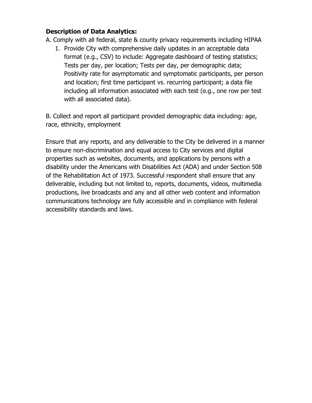## **Description of Data Analytics:**

- A. Comply with all federal, state & county privacy requirements including HIPAA
	- 1. Provide City with comprehensive daily updates in an acceptable data format (e.g., CSV) to include: Aggregate dashboard of testing statistics; Tests per day, per location; Tests per day, per demographic data; Positivity rate for asymptomatic and symptomatic participants, per person and location; first time participant vs. recurring participant; a data file including all information associated with each test (e.g., one row per test with all associated data).

B. Collect and report all participant provided demographic data including: age, race, ethnicity, employment

Ensure that any reports, and any deliverable to the City be delivered in a manner to ensure non-discrimination and equal access to City services and digital properties such as websites, documents, and applications by persons with a disability under the Americans with Disabilities Act (ADA) and under Section 508 of the Rehabilitation Act of 1973. Successful respondent shall ensure that any deliverable, including but not limited to, reports, documents, videos, multimedia productions, live broadcasts and any and all other web content and information communications technology are fully accessible and in compliance with federal accessibility standards and laws.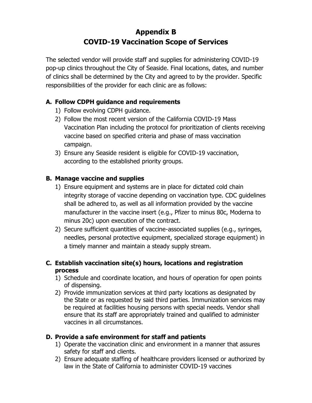# **Appendix B COVID-19 Vaccination Scope of Services**

The selected vendor will provide staff and supplies for administering COVID-19 pop-up clinics throughout the City of Seaside. Final locations, dates, and number of clinics shall be determined by the City and agreed to by the provider. Specific responsibilities of the provider for each clinic are as follows:

## **A. Follow CDPH guidance and requirements**

- 1) Follow evolving CDPH guidance.
- 2) Follow the most recent version of the California COVID-19 Mass Vaccination Plan including the protocol for prioritization of clients receiving vaccine based on specified criteria and phase of mass vaccination campaign.
- 3) Ensure any Seaside resident is eligible for COVID-19 vaccination, according to the established priority groups.

## **B. Manage vaccine and supplies**

- 1) Ensure equipment and systems are in place for dictated cold chain integrity storage of vaccine depending on vaccination type. CDC guidelines shall be adhered to, as well as all information provided by the vaccine manufacturer in the vaccine insert (e.g., Pfizer to minus 80c, Moderna to minus 20c) upon execution of the contract.
- 2) Secure sufficient quantities of vaccine-associated supplies (e.g., syringes, needles, personal protective equipment, specialized storage equipment) in a timely manner and maintain a steady supply stream.

## **C. Establish vaccination site(s) hours, locations and registration process**

- 1) Schedule and coordinate location, and hours of operation for open points of dispensing.
- 2) Provide immunization services at third party locations as designated by the State or as requested by said third parties. Immunization services may be required at facilities housing persons with special needs. Vendor shall ensure that its staff are appropriately trained and qualified to administer vaccines in all circumstances.

## **D. Provide a safe environment for staff and patients**

- 1) Operate the vaccination clinic and environment in a manner that assures safety for staff and clients.
- 2) Ensure adequate staffing of healthcare providers licensed or authorized by law in the State of California to administer COVID-19 vaccines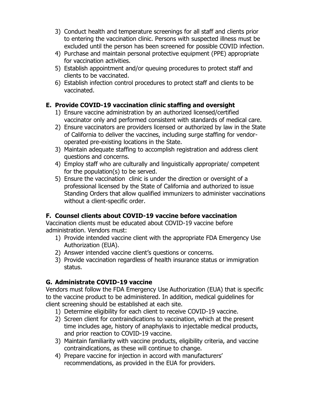- 3) Conduct health and temperature screenings for all staff and clients prior to entering the vaccination clinic. Persons with suspected illness must be excluded until the person has been screened for possible COVID infection.
- 4) Purchase and maintain personal protective equipment (PPE) appropriate for vaccination activities.
- 5) Establish appointment and/or queuing procedures to protect staff and clients to be vaccinated.
- 6) Establish infection control procedures to protect staff and clients to be vaccinated.

## **E. Provide COVID-19 vaccination clinic staffing and oversight**

- 1) Ensure vaccine administration by an authorized licensed/certified vaccinator only and performed consistent with standards of medical care.
- 2) Ensure vaccinators are providers licensed or authorized by law in the State of California to deliver the vaccines, including surge staffing for vendoroperated pre-existing locations in the State.
- 3) Maintain adequate staffing to accomplish registration and address client questions and concerns.
- 4) Employ staff who are culturally and linguistically appropriate/ competent for the population(s) to be served.
- 5) Ensure the vaccination clinic is under the direction or oversight of a professional licensed by the State of California and authorized to issue Standing Orders that allow qualified immunizers to administer vaccinations without a client-specific order.

## **F. Counsel clients about COVID-19 vaccine before vaccination**

Vaccination clients must be educated about COVID-19 vaccine before administration. Vendors must:

- 1) Provide intended vaccine client with the appropriate FDA Emergency Use Authorization (EUA).
- 2) Answer intended vaccine client's questions or concerns.
- 3) Provide vaccination regardless of health insurance status or immigration status.

## **G. Administrate COVID-19 vaccine**

Vendors must follow the FDA Emergency Use Authorization (EUA) that is specific to the vaccine product to be administered. In addition, medical guidelines for client screening should be established at each site.

- 1) Determine eligibility for each client to receive COVID-19 vaccine.
- 2) Screen client for contraindications to vaccination, which at the present time includes age, history of anaphylaxis to injectable medical products, and prior reaction to COVID-19 vaccine.
- 3) Maintain familiarity with vaccine products, eligibility criteria, and vaccine contraindications, as these will continue to change.
- 4) Prepare vaccine for injection in accord with manufacturers' recommendations, as provided in the EUA for providers.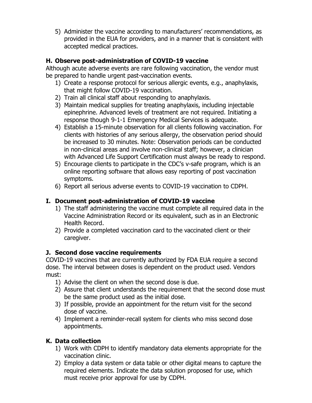5) Administer the vaccine according to manufacturers' recommendations, as provided in the EUA for providers, and in a manner that is consistent with accepted medical practices.

## **H. Observe post-administration of COVID-19 vaccine**

Although acute adverse events are rare following vaccination, the vendor must be prepared to handle urgent past-vaccination events.

- 1) Create a response protocol for serious allergic events, e.g., anaphylaxis, that might follow COVID-19 vaccination.
- 2) Train all clinical staff about responding to anaphylaxis.
- 3) Maintain medical supplies for treating anaphylaxis, including injectable epinephrine. Advanced levels of treatment are not required. Initiating a response though 9-1-1 Emergency Medical Services is adequate.
- 4) Establish a 15-minute observation for all clients following vaccination. For clients with histories of any serious allergy, the observation period should be increased to 30 minutes. Note: Observation periods can be conducted in non-clinical areas and involve non-clinical staff; however, a clinician with Advanced Life Support Certification must always be ready to respond.
- 5) Encourage clients to participate in the CDC's v-safe program, which is an online reporting software that allows easy reporting of post vaccination symptoms.
- 6) Report all serious adverse events to COVID-19 vaccination to CDPH.

## **I. Document post-administration of COVID-19 vaccine**

- 1) The staff administering the vaccine must complete all required data in the Vaccine Administration Record or its equivalent, such as in an Electronic Health Record.
- 2) Provide a completed vaccination card to the vaccinated client or their caregiver.

## **J. Second dose vaccine requirements**

COVID-19 vaccines that are currently authorized by FDA EUA require a second dose. The interval between doses is dependent on the product used. Vendors must:

- 1) Advise the client on when the second dose is due.
- 2) Assure that client understands the requirement that the second dose must be the same product used as the initial dose.
- 3) If possible, provide an appointment for the return visit for the second dose of vaccine.
- 4) Implement a reminder-recall system for clients who miss second dose appointments.

## **K. Data collection**

- 1) Work with CDPH to identify mandatory data elements appropriate for the vaccination clinic.
- 2) Employ a data system or data table or other digital means to capture the required elements. Indicate the data solution proposed for use, which must receive prior approval for use by CDPH.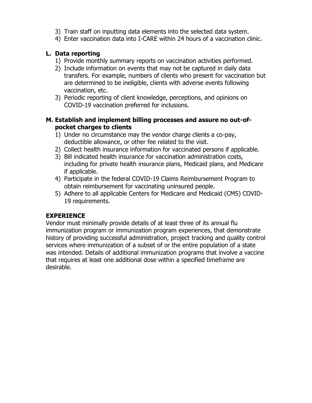- 3) Train staff on inputting data elements into the selected data system.
- 4) Enter vaccination data into I-CARE within 24 hours of a vaccination clinic.

## **L. Data reporting**

- 1) Provide monthly summary reports on vaccination activities performed.
- 2) Include information on events that may not be captured in daily data transfers. For example, numbers of clients who present for vaccination but are determined to be ineligible, clients with adverse events following vaccination, etc.
- 3) Periodic reporting of client knowledge, perceptions, and opinions on COVID-19 vaccination preferred for inclusions.

### **M. Establish and implement billing processes and assure no out-ofpocket charges to clients**

- 1) Under no circumstance may the vendor charge clients a co-pay, deductible allowance, or other fee related to the visit.
- 2) Collect health insurance information for vaccinated persons if applicable.
- 3) Bill indicated health insurance for vaccination administration costs, including for private health insurance plans, Medicaid plans, and Medicare if applicable.
- 4) Participate in the federal COVID-19 Claims Reimbursement Program to obtain reimbursement for vaccinating uninsured people.
- 5) Adhere to all applicable Centers for Medicare and Medicaid (CMS) COVID-19 requirements.

## **EXPERIENCE**

Vendor must minimally provide details of at least three of its annual flu immunization program or immunization program experiences, that demonstrate history of providing successful administration, project tracking and quality control services where immunization of a subset of or the entire population of a state was intended. Details of additional immunization programs that involve a vaccine that requires at least one additional dose within a specified timeframe are desirable.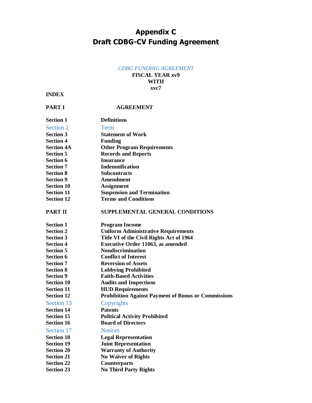# **Appendix C Draft CDBG-CV Funding Agreement**

#### *CDBG FUNDING AGREEMENT*

#### **FISCAL YEAR xv9 WITH xvc7**

#### **INDEX**

| <b>PART I</b>     | <b>AGREEMENT</b>                                           |
|-------------------|------------------------------------------------------------|
| <b>Section 1</b>  | <b>Definitions</b>                                         |
| Section 2         | <b>Term</b>                                                |
| <b>Section 3</b>  | <b>Statement of Work</b>                                   |
| <b>Section 4</b>  | <b>Funding</b>                                             |
| <b>Section 4A</b> | <b>Other Program Requirements</b>                          |
| <b>Section 5</b>  | <b>Records and Reports</b>                                 |
| <b>Section 6</b>  | <b>Insurance</b>                                           |
| <b>Section 7</b>  | <b>Indemnification</b>                                     |
| <b>Section 8</b>  | <b>Subcontracts</b>                                        |
| <b>Section 9</b>  | <b>Amendment</b>                                           |
| <b>Section 10</b> | <b>Assignment</b>                                          |
| <b>Section 11</b> | <b>Suspension and Termination</b>                          |
| <b>Section 12</b> | <b>Terms and Conditions</b>                                |
| <b>PART II</b>    | <b>SUPPLEMENTAL GENERAL CONDITIONS</b>                     |
| <b>Section 1</b>  | <b>Program Income</b>                                      |
| <b>Section 2</b>  | <b>Uniform Administrative Requirements</b>                 |
| <b>Section 3</b>  | Title VI of the Civil Rights Act of 1964                   |
| <b>Section 4</b>  | <b>Executive Order 11063, as amended</b>                   |
| <b>Section 5</b>  | <b>Nondiscrimination</b>                                   |
| <b>Section 6</b>  | <b>Conflict of Interest</b>                                |
| <b>Section 7</b>  | <b>Reversion of Assets</b>                                 |
| <b>Section 8</b>  | <b>Lobbying Prohibited</b>                                 |
| <b>Section 9</b>  | <b>Faith-Based Activities</b>                              |
| <b>Section 10</b> | <b>Audits and Inspections</b>                              |
| <b>Section 11</b> | <b>HUD Requirements</b>                                    |
| <b>Section 12</b> | <b>Prohibition Against Payment of Bonus or Commissions</b> |
| Section 13        | Copyrights                                                 |
| <b>Section 14</b> | <b>Patents</b>                                             |
| <b>Section 15</b> | <b>Political Activity Prohibited</b>                       |
| <b>Section 16</b> | <b>Board of Directors</b>                                  |
| Section 17        | <b>Notices</b>                                             |
| <b>Section 18</b> | <b>Legal Representation</b>                                |
| <b>Section 19</b> | <b>Joint Representation</b>                                |
| <b>Section 20</b> | <b>Warranty of Authority</b>                               |
| <b>Section 21</b> | <b>No Waiver of Rights</b>                                 |
| <b>Section 22</b> | <b>Counterparts</b>                                        |
| <b>Section 23</b> | <b>No Third Party Rights</b>                               |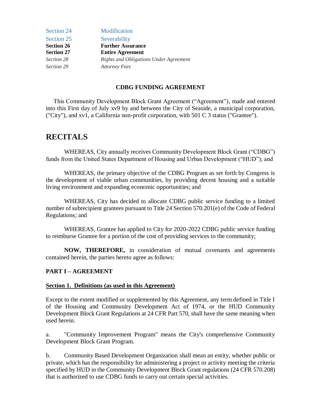| Section 24        | Modification                                  |
|-------------------|-----------------------------------------------|
| Section 25        | Severability                                  |
| <b>Section 26</b> | <b>Further Assurance</b>                      |
| <b>Section 27</b> | <b>Entire Agreement</b>                       |
| Section 28        | <b>Rights and Obligations Under Agreement</b> |
| Section 29        | <b>Attorney Fees</b>                          |

#### **CDBG FUNDING AGREEMENT**

 This Community Development Block Grant Agreement ("Agreement"), made and entered into this First day of July xv9 by and between the City of Seaside, a municipal corporation, ("City"), and xv1, a California non-profit corporation, with 501 C 3 status ("Grantee").

## **RECITALS**

WHEREAS, City annually receives Community Development Block Grant ("CDBG") funds from the United States Department of Housing and Urban Development ("HUD"); and

WHEREAS, the primary objective of the CDBG Program as set forth by Congress is the development of viable urban communities, by providing decent housing and a suitable living environment and expanding economic opportunities; and

WHEREAS, City has decided to allocate CDBG public service funding to a limited number of subrecipient grantees pursuant to Title 24 Section 570.201(e) of the Code of Federal Regulations; and

WHEREAS, Grantee has applied to City for 2020-2022 CDBG public service funding to reimburse Grantee for a portion of the cost of providing services to the community;

**NOW, THEREFORE,** in consideration of mutual covenants and agreements contained herein, the parties hereto agree as follows:

#### **PART I – AGREEMENT**

#### **Section 1. Definitions (as used in this Agreement)**

Except to the extent modified or supplemented by this Agreement, any term defined in Title I of the Housing and Community Development Act of 1974, or the HUD Community Development Block Grant Regulations at 24 CFR Part 570, shall have the same meaning when used herein.

a. "Community Improvement Program" means the City's comprehensive Community Development Block Grant Program.

b. Community Based Development Organization shall mean an entity, whether public or private, which has the responsibility for administering a project or activity meeting the criteria specified by HUD in the Community Development Block Grant regulations (24 CFR 570.208) that is authorized to use CDBG funds to carry out certain special activities.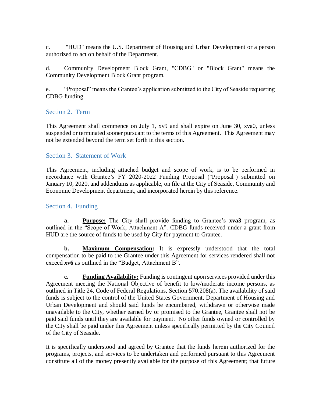c. "HUD" means the U.S. Department of Housing and Urban Development or a person authorized to act on behalf of the Department.

d. Community Development Block Grant, "CDBG" or "Block Grant" means the Community Development Block Grant program.

e. "Proposal" means the Grantee's application submitted to the City of Seaside requesting CDBG funding.

## Section 2. Term

This Agreement shall commence on July 1, xv9 and shall expire on June 30, xva0, unless suspended or terminated sooner pursuant to the terms of this Agreement. This Agreement may not be extended beyond the term set forth in this section.

### Section 3. Statement of Work

This Agreement, including attached budget and scope of work, is to be performed in accordance with Grantee's FY 2020-2022 Funding Proposal ("Proposal") submitted on January 10, 2020, and addendums as applicable, on file at the City of Seaside, Community and Economic Development department, and incorporated herein by this reference.

### Section 4. Funding

**a. Purpose:** The City shall provide funding to Grantee's **xva3** program, as outlined in the "Scope of Work, Attachment A". CDBG funds received under a grant from HUD are the source of funds to be used by City for payment to Grantee.

**b. Maximum Compensation:** It is expressly understood that the total compensation to be paid to the Grantee under this Agreement for services rendered shall not exceed **xv6** as outlined in the "Budget, Attachment B".

**c. Funding Availability:** Funding is contingent upon services provided under this Agreement meeting the National Objective of benefit to low/moderate income persons, as outlined in Title 24, Code of Federal Regulations, Section 570.208(a). The availability of said funds is subject to the control of the United States Government, Department of Housing and Urban Development and should said funds be encumbered, withdrawn or otherwise made unavailable to the City, whether earned by or promised to the Grantee, Grantee shall not be paid said funds until they are available for payment. No other funds owned or controlled by the City shall be paid under this Agreement unless specifically permitted by the City Council of the City of Seaside.

It is specifically understood and agreed by Grantee that the funds herein authorized for the programs, projects, and services to be undertaken and performed pursuant to this Agreement constitute all of the money presently available for the purpose of this Agreement; that future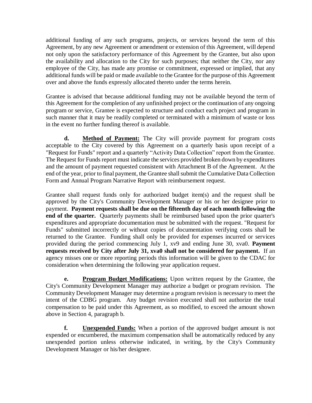additional funding of any such programs, projects, or services beyond the term of this Agreement, by any new Agreement or amendment or extension of this Agreement, will depend not only upon the satisfactory performance of this Agreement by the Grantee, but also upon the availability and allocation to the City for such purposes; that neither the City, nor any employee of the City, has made any promise or commitment, expressed or implied, that any additional funds will be paid or made available to the Grantee for the purpose of this Agreement over and above the funds expressly allocated thereto under the terms herein.

Grantee is advised that because additional funding may not be available beyond the term of this Agreement for the completion of any unfinished project or the continuation of any ongoing program or service, Grantee is expected to structure and conduct each project and program in such manner that it may be readily completed or terminated with a minimum of waste or loss in the event no further funding thereof is available.

**d. Method of Payment:** The City will provide payment for program costs acceptable to the City covered by this Agreement on a quarterly basis upon receipt of a "Request for Funds" report and a quarterly "Activity Data Collection" report from the Grantee. The Request for Funds report must indicate the services provided broken down by expenditures and the amount of payment requested consistent with Attachment B of the Agreement. At the end of the year, prior to final payment, the Grantee shall submit the Cumulative Data Collection Form and Annual Program Narrative Report with reimbursement request.

Grantee shall request funds only for authorized budget item(s) and the request shall be approved by the City's Community Development Manager or his or her designee prior to payment. **Payment requests shall be due on the fifteenth day of each month following the end of the quarter.** Quarterly payments shall be reimbursed based upon the prior quarter's expenditures and appropriate documentation must be submitted with the request. "Request for Funds" submitted incorrectly or without copies of documentation verifying costs shall be returned to the Grantee. Funding shall only be provided for expenses incurred or services provided during the period commencing July 1, xv9 and ending June 30, xva0. **Payment requests received by City after July 31, xva0 shall not be considered for payment.** If an agency misses one or more reporting periods this information will be given to the CDAC for consideration when determining the following year application request.

**e. Program Budget Modifications:** Upon written request by the Grantee, the City's Community Development Manager may authorize a budget or program revision. The Community Development Manager may determine a program revision is necessary to meet the intent of the CDBG program. Any budget revision executed shall not authorize the total compensation to be paid under this Agreement, as so modified, to exceed the amount shown above in Section 4, paragraph b.

**f. Unexpended Funds:** When a portion of the approved budget amount is not expended or encumbered, the maximum compensation shall be automatically reduced by any unexpended portion unless otherwise indicated, in writing, by the City's Community Development Manager or his/her designee.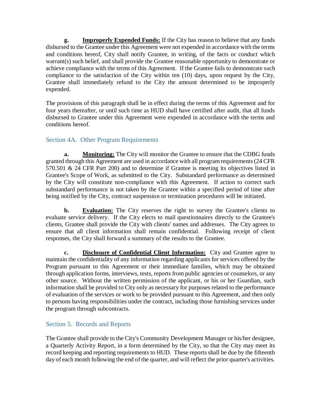**g. Improperly Expended Funds:** If the City has reason to believe that any funds disbursed to the Grantee under this Agreement were not expended in accordance with the terms and conditions hereof, City shall notify Grantee, in writing, of the facts or conduct which warrant(s) such belief, and shall provide the Grantee reasonable opportunity to demonstrate or achieve compliance with the terms of this Agreement. If the Grantee fails to demonstrate such compliance to the satisfaction of the City within ten (10) days, upon request by the City, Grantee shall immediately refund to the City the amount determined to be improperly expended.

The provisions of this paragraph shall be in effect during the terms of this Agreement and for four years thereafter, or until such time as HUD shall have certified after audit, that all funds disbursed to Grantee under this Agreement were expended in accordance with the terms and conditions hereof.

## Section 4A. Other Program Requirements

**a. Monitoring:** The City will monitor the Grantee to ensure that the CDBG funds granted through this Agreement are used in accordance with all program requirements (24 CFR 570.501 & 24 CFR Part 200) and to determine if Grantee is meeting its objectives listed in Grantee's Scope of Work, as submitted to the City. Substandard performance as determined by the City will constitute non-compliance with this Agreement. If action to correct such substandard performance is not taken by the Grantee within a specified period of time after being notified by the City, contract suspension or termination procedures will be initiated.

**b. Evaluation:** The City reserves the right to survey the Grantee's clients to evaluate service delivery. If the City elects to mail questionnaires directly to the Grantee's clients, Grantee shall provide the City with clients' names and addresses. The City agrees to ensure that all client information shall remain confidential. Following receipt of client responses, the City shall forward a summary of the results to the Grantee.

**c. Disclosure of Confidential Client Information:** City and Grantee agree to maintain the confidentiality of any information regarding applicants for services offered by the Program pursuant to this Agreement or their immediate families, which may be obtained through application forms, interviews, tests, reports from public agencies or counselors, or any other source. Without the written permission of the applicant, or his or her Guardian, such information shall be provided to City only as necessary for purposes related to the performance of evaluation of the services or work to be provided pursuant to this Agreement, and then only to persons having responsibilities under the contract, including those furnishing services under the program through subcontracts.

## Section 5. Records and Reports

The Grantee shall provide to the City's Community Development Manager or his/her designee, a Quarterly Activity Report, in a form determined by the City, so that the City may meet its record keeping and reporting requirements to HUD. These reports shall be due by the fifteenth day of each month following the end of the quarter, and will reflect the prior quarter's activities.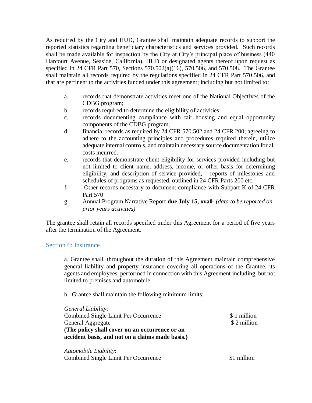As required by the City and HUD, Grantee shall maintain adequate records to support the reported statistics regarding beneficiary characteristics and services provided. Such records shall be made available for inspection by the City at City's principal place of business (440 Harcourt Avenue, Seaside, California), HUD or designated agents thereof upon request as specified in 24 CFR Part 570, Sections 570.502(a)(16), 570.506, and 570.508. The Grantee shall maintain all records required by the regulations specified in 24 CFR Part 570.506, and that are pertinent to the activities funded under this agreement; including but not limited to:

- a. records that demonstrate activities meet one of the National Objectives of the CDBG program;
- b. records required to determine the eligibility of activities;
- c. records documenting compliance with fair housing and equal opportunity components of the CDBG program;
- d. financial records as required by 24 CFR 570.502 and 24 CFR 200; agreeing to adhere to the accounting principles and procedures required therein, utilize adequate internal controls, and maintain necessary source documentation for all costs incurred.
- e. records that demonstrate client eligibility for services provided including but not limited to client name, address, income, or other basis for determining eligibility, and description of service provided, reports of milestones and schedules of programs as requested, outlined in 24 CFR Parts 200 etc.
- f. Other records necessary to document compliance with Subpart K of 24 CFR Part 570
- g. Annual Program Narrative Report **due July 15, xva0** *(data to be reported on prior years activities)*

The grantee shall retain all records specified under this Agreement for a period of five years after the termination of the Agreement.

#### Section 6: Insurance

a. Grantee shall, throughout the duration of this Agreement maintain comprehensive general liability and property insurance covering all operations of the Grantee, its agents and employees, performed in connection with this Agreement including, but not limited to premises and automobile.

b. Grantee shall maintain the following minimum limits:

| General Liability:                               |             |
|--------------------------------------------------|-------------|
| Combined Single Limit Per Occurrence             | \$1 million |
| General Aggregate                                | \$2 million |
| (The policy shall cover on an occurrence or an   |             |
| accident basis, and not on a claims made basis.) |             |
|                                                  |             |

*Automobile Liability*: Combined Single Limit Per Occurrence \$1 million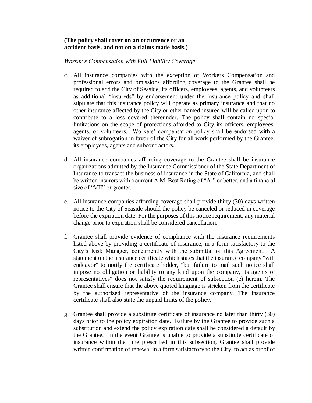#### **(The policy shall cover on an occurrence or an accident basis, and not on a claims made basis.)**

#### *Worker's Compensation with Full Liability Coverage*

- c. All insurance companies with the exception of Workers Compensation and professional errors and omissions affording coverage to the Grantee shall be required to add the City of Seaside, its officers, employees, agents, and volunteers as additional "insureds" by endorsement under the insurance policy and shall stipulate that this insurance policy will operate as primary insurance and that no other insurance affected by the City or other named insured will be called upon to contribute to a loss covered thereunder. The policy shall contain no special limitations on the scope of protections afforded to City its officers, employees, agents, or volunteers. Workers' compensation policy shall be endorsed with a waiver of subrogation in favor of the City for all work performed by the Grantee, its employees, agents and subcontractors.
- d. All insurance companies affording coverage to the Grantee shall be insurance organizations admitted by the Insurance Commissioner of the State Department of Insurance to transact the business of insurance in the State of California, and shall be written insurers with a current A.M. Best Rating of "A-" or better, and a financial size of "VII" or greater.
- e. All insurance companies affording coverage shall provide thirty (30) days written notice to the City of Seaside should the policy be canceled or reduced in coverage before the expiration date. For the purposes of this notice requirement, any material change prior to expiration shall be considered cancellation.
- f. Grantee shall provide evidence of compliance with the insurance requirements listed above by providing a certificate of insurance, in a form satisfactory to the City's Risk Manager, concurrently with the submittal of this Agreement. A statement on the insurance certificate which states that the insurance company "will endeavor" to notify the certificate holder, "but failure to mail such notice shall impose no obligation or liability to any kind upon the company, its agents or representatives" does not satisfy the requirement of subsection (e) herein. The Grantee shall ensure that the above quoted language is stricken from the certificate by the authorized representative of the insurance company. The insurance certificate shall also state the unpaid limits of the policy.
- g. Grantee shall provide a substitute certificate of insurance no later than thirty (30) days prior to the policy expiration date. Failure by the Grantee to provide such a substitution and extend the policy expiration date shall be considered a default by the Grantee. In the event Grantee is unable to provide a substitute certificate of insurance within the time prescribed in this subsection, Grantee shall provide written confirmation of renewal in a form satisfactory to the City, to act as proof of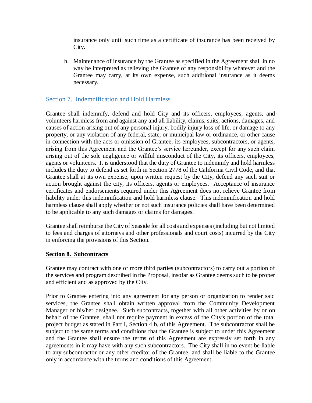insurance only until such time as a certificate of insurance has been received by City.

h. Maintenance of insurance by the Grantee as specified in the Agreement shall in no way be interpreted as relieving the Grantee of any responsibility whatever and the Grantee may carry, at its own expense, such additional insurance as it deems necessary.

### Section 7. Indemnification and Hold Harmless

Grantee shall indemnify, defend and hold City and its officers, employees, agents, and volunteers harmless from and against any and all liability, claims, suits, actions, damages, and causes of action arising out of any personal injury, bodily injury loss of life, or damage to any property, or any violation of any federal, state, or municipal law or ordinance, or other cause in connection with the acts or omission of Grantee, its employees, subcontractors, or agents, arising from this Agreement and the Grantee's service hereunder, except for any such claim arising out of the sole negligence or willful misconduct of the City, its officers, employees, agents or volunteers. It is understood that the duty of Grantee to indemnify and hold harmless includes the duty to defend as set forth in Section 2778 of the California Civil Code, and that Grantee shall at its own expense, upon written request by the City, defend any such suit or action brought against the city, its officers, agents or employees. Acceptance of insurance certificates and endorsements required under this Agreement does not relieve Grantee from liability under this indemnification and hold harmless clause. This indemnification and hold harmless clause shall apply whether or not such insurance policies shall have been determined to be applicable to any such damages or claims for damages.

Grantee shall reimburse the City of Seaside for all costs and expenses (including but not limited to fees and charges of attorneys and other professionals and court costs) incurred by the City in enforcing the provisions of this Section.

#### **Section 8. Subcontracts**

Grantee may contract with one or more third parties (subcontractors) to carry out a portion of the services and program described in the Proposal, insofar as Grantee deems such to be proper and efficient and as approved by the City.

Prior to Grantee entering into any agreement for any person or organization to render said services, the Grantee shall obtain written approval from the Community Development Manager or his/her designee. Such subcontracts, together with all other activities by or on behalf of the Grantee, shall not require payment in excess of the City's portion of the total project budget as stated in Part I, Section 4 b, of this Agreement. The subcontractor shall be subject to the same terms and conditions that the Grantee is subject to under this Agreement and the Grantee shall ensure the terms of this Agreement are expressly set forth in any agreements in it may have with any such subcontractors. The City shall in no event be liable to any subcontractor or any other creditor of the Grantee, and shall be liable to the Grantee only in accordance with the terms and conditions of this Agreement.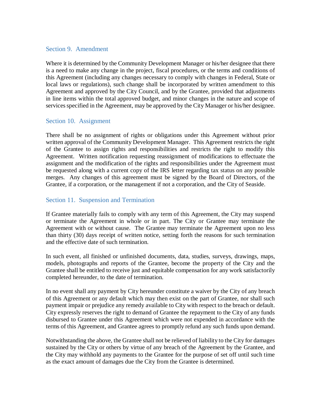### Section 9. Amendment

Where it is determined by the Community Development Manager or his/her designee that there is a need to make any change in the project, fiscal procedures, or the terms and conditions of this Agreement (including any changes necessary to comply with changes in Federal, State or local laws or regulations), such change shall be incorporated by written amendment to this Agreement and approved by the City Council, and by the Grantee, provided that adjustments in line items within the total approved budget, and minor changes in the nature and scope of services specified in the Agreement, may be approved by the City Manager or his/her designee.

### Section 10. Assignment

There shall be no assignment of rights or obligations under this Agreement without prior written approval of the Community Development Manager. This Agreement restricts the right of the Grantee to assign rights and responsibilities and restricts the right to modify this Agreement. Written notification requesting reassignment of modifications to effectuate the assignment and the modification of the rights and responsibilities under the Agreement must be requested along with a current copy of the IRS letter regarding tax status on any possible merges. Any changes of this agreement must be signed by the Board of Directors, of the Grantee, if a corporation, or the management if not a corporation, and the City of Seaside.

### Section 11. Suspension and Termination

If Grantee materially fails to comply with any term of this Agreement, the City may suspend or terminate the Agreement in whole or in part. The City or Grantee may terminate the Agreement with or without cause. The Grantee may terminate the Agreement upon no less than thirty (30) days receipt of written notice, setting forth the reasons for such termination and the effective date of such termination.

In such event, all finished or unfinished documents, data, studies, surveys, drawings, maps, models, photographs and reports of the Grantee, become the property of the City and the Grantee shall be entitled to receive just and equitable compensation for any work satisfactorily completed hereunder, to the date of termination.

In no event shall any payment by City hereunder constitute a waiver by the City of any breach of this Agreement or any default which may then exist on the part of Grantee, nor shall such payment impair or prejudice any remedy available to City with respect to the breach or default. City expressly reserves the right to demand of Grantee the repayment to the City of any funds disbursed to Grantee under this Agreement which were not expended in accordance with the terms of this Agreement, and Grantee agrees to promptly refund any such funds upon demand.

Notwithstanding the above, the Grantee shall not be relieved of liability to the City for damages sustained by the City or others by virtue of any breach of the Agreement by the Grantee, and the City may withhold any payments to the Grantee for the purpose of set off until such time as the exact amount of damages due the City from the Grantee is determined.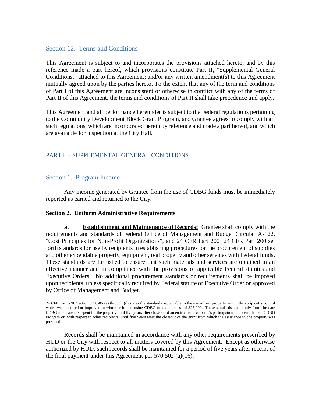#### Section 12. Terms and Conditions

This Agreement is subject to and incorporates the provisions attached hereto, and by this reference made a part hereof, which provisions constitute Part II, "Supplemental General Conditions," attached to this Agreement; and/or any written amendment(s) to this Agreement mutually agreed upon by the parties hereto. To the extent that any of the term and conditions of Part I of this Agreement are inconsistent or otherwise in conflict with any of the terms of Part II of this Agreement, the terms and conditions of Part II shall take precedence and apply.

This Agreement and all performance hereunder is subject to the Federal regulations pertaining to the Community Development Block Grant Program, and Grantee agrees to comply with all such regulations, which are incorporated herein by reference and made a part hereof, and which are available for inspection at the City Hall.

### PART II - SUPPLEMENTAL GENERAL CONDITIONS

#### Section 1. Program Income

Any income generated by Grantee from the use of CDBG funds must be immediately reported as earned and returned to the City.

#### **Section 2. Uniform Administrative Requirements**

**a. Establishment and Maintenance of Records:** Grantee shall comply with the requirements and standards of Federal Office of Management and Budget Circular A-122, "Cost Principles for Non-Profit Organizations", and 24 CFR Part 200 24 CFR Part 200 set forth standards for use by recipients in establishing procedures for the procurement of supplies and other expendable property, equipment, real property and other services with Federal funds. These standards are furnished to ensure that such materials and services are obtained in an effective manner and in compliance with the provisions of applicable Federal statutes and Executive Orders. No additional procurement standards or requirements shall be imposed upon recipients, unless specifically required by Federal statute or Executive Order or approved by Office of Management and Budget.

24 CFR Part 570, Section 570.505 (a) through (d) states the standards applicable to the use of real property within the recipient's control which was acquired or improved in whole or in part using CDBG funds in excess of \$25,000. These standards shall apply from the date CDBG funds are first spent for the property until five years after closeout of an entitlement recipient's participation in the entitlement CDBG Program or, with respect to other recipients, until five years after the closeout of the grant from which the assistance to the property was provided.

Records shall be maintained in accordance with any other requirements prescribed by HUD or the City with respect to all matters covered by this Agreement. Except as otherwise authorized by HUD, such records shall be maintained for a period of five years after receipt of the final payment under this Agreement per 570.502 (a)(16).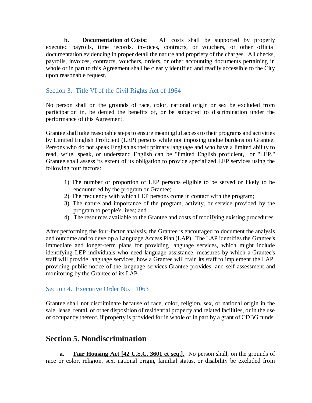**b. Documentation of Costs:** All costs shall be supported by properly executed payrolls, time records, invoices, contracts, or vouchers, or other official documentation evidencing in proper detail the nature and propriety of the charges. All checks, payrolls, invoices, contracts, vouchers, orders, or other accounting documents pertaining in whole or in part to this Agreement shall be clearly identified and readily accessible to the City upon reasonable request.

### Section 3. Title VI of the Civil Rights Act of 1964

No person shall on the grounds of race, color, national origin or sex be excluded from participation in, be denied the benefits of, or be subjected to discrimination under the performance of this Agreement.

Grantee shall take reasonable steps to ensure meaningful access to their programs and activities by Limited English Proficient (LEP) persons while not imposing undue burdens on Grantee. Persons who do not speak English as their primary language and who have a limited ability to read, write, speak, or understand English can be "limited English proficient," or "LEP." Grantee shall assess its extent of its obligation to provide specialized LEP services using the following four factors:

- 1) The number or proportion of LEP persons eligible to be served or likely to be encountered by the program or Grantee;
- 2) The frequency with which LEP persons come in contact with the program;
- 3) The nature and importance of the program, activity, or service provided by the program to people's lives; and
- 4) The resources available to the Grantee and costs of modifying existing procedures.

After performing the four-factor analysis, the Grantee is encouraged to document the analysis and outcome and to develop a Language Access Plan (LAP). The LAP identifies the Grantee's immediate and longer-term plans for providing language services, which might include identifying LEP individuals who need language assistance, measures by which a Grantee's staff will provide language services, how a Grantee will train its staff to implement the LAP, providing public notice of the language services Grantee provides, and self-assessment and monitoring by the Grantee of its LAP.

### Section 4. Executive Order No. 11063

Grantee shall not discriminate because of race, color, religion, sex, or national origin in the sale, lease, rental, or other disposition of residential property and related facilities, or in the use or occupancy thereof, if property is provided for in whole or in part by a grant of CDBG funds.

# **Section 5. Nondiscrimination**

**a. Fair Housing Act [42 U.S.C. 3601 et seq.].** No person shall, on the grounds of race or color, religion, sex, national origin, familial status, or disability be excluded from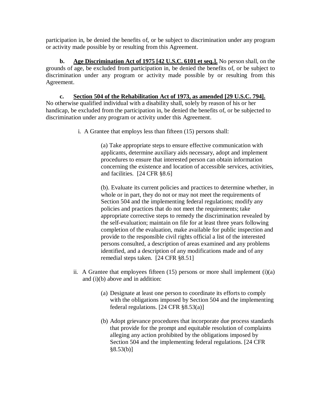participation in, be denied the benefits of, or be subject to discrimination under any program or activity made possible by or resulting from this Agreement.

**b. Age Discrimination Act of 1975 [42 U.S.C. 6101 et seq.].** No person shall, on the grounds of age, be excluded from participation in, be denied the benefits of, or be subject to discrimination under any program or activity made possible by or resulting from this Agreement.

**c. Section 504 of the Rehabilitation Act of 1973, as amended [29 U.S.C. 794].**  No otherwise qualified individual with a disability shall, solely by reason of his or her handicap, be excluded from the participation in, be denied the benefits of, or be subjected to discrimination under any program or activity under this Agreement.

i. A Grantee that employs less than fifteen (15) persons shall:

(a) Take appropriate steps to ensure effective communication with applicants, determine auxiliary aids necessary, adopt and implement procedures to ensure that interested person can obtain information concerning the existence and location of accessible services, activities, and facilities. [24 CFR §8.6]

(b). Evaluate its current policies and practices to determine whether, in whole or in part, they do not or may not meet the requirements of Section 504 and the implementing federal regulations; modify any policies and practices that do not meet the requirements; take appropriate corrective steps to remedy the discrimination revealed by the self-evaluation; maintain on file for at least three years following completion of the evaluation, make available for public inspection and provide to the responsible civil rights official a list of the interested persons consulted, a description of areas examined and any problems identified, and a description of any modifications made and of any remedial steps taken. [24 CFR §8.51]

- ii. A Grantee that employees fifteen  $(15)$  persons or more shall implement  $(i)(a)$ and (i)(b) above and in addition:
	- (a) Designate at least one person to coordinate its efforts to comply with the obligations imposed by Section 504 and the implementing federal regulations. [24 CFR §8.53(a)]
	- (b) Adopt grievance procedures that incorporate due process standards that provide for the prompt and equitable resolution of complaints alleging any action prohibited by the obligations imposed by Section 504 and the implementing federal regulations. [24 CFR  $§8.53(b)]$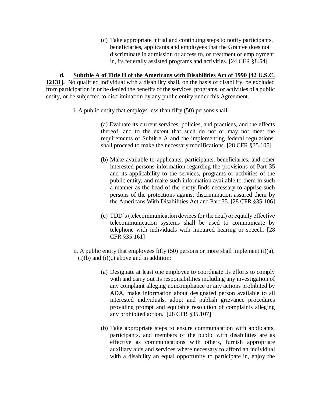(c) Take appropriate initial and continuing steps to notify participants, beneficiaries, applicants and employees that the Grantee does not discriminate in admission or access to, or treatment or employment in, its federally assisted programs and activities. [24 CFR §8.54]

**d. Subtitle A of Title II of the Americans with Disabilities Act of 1990 [42 U.S.C. 12131].** No qualified individual with a disability shall, on the basis of disability, be excluded from participation in or be denied the benefits of the services, programs, or activities of a public entity, or be subjected to discrimination by any public entity under this Agreement.

i. A public entity that employs less than fifty (50) persons shall:

(a) Evaluate its current services, policies, and practices, and the effects thereof, and to the extent that such do not or may not meet the requirements of Subtitle A and the implementing federal regulations, shall proceed to make the necessary modifications. [28 CFR §35.105]

- (b) Make available to applicants, participants, beneficiaries, and other interested persons information regarding the provisions of Part 35 and its applicability to the services, programs or activities of the public entity, and make such information available to them in such a manner as the head of the entity finds necessary to apprise such persons of the protections against discrimination assured them by the Americans With Disabilities Act and Part 35. [28 CFR §35.106]
- (c) TDD's (telecommunication devices for the deaf) or equally effective telecommunication systems shall be used to communicate by telephone with individuals with impaired hearing or speech. [28 CFR §35.161]
- ii. A public entity that employees fifty  $(50)$  persons or more shall implement  $(i)(a)$ ,  $(i)(b)$  and  $(i)(c)$  above and in addition:
	- (a) Designate at least one employee to coordinate its efforts to comply with and carry out its responsibilities including any investigation of any complaint alleging noncompliance or any actions prohibited by ADA, make information about designated person available to all interested individuals, adopt and publish grievance procedures providing prompt and equitable resolution of complaints alleging any prohibited action. [28 CFR §35.107]
	- (b) Take appropriate steps to ensure communication with applicants, participants, and members of the public with disabilities are as effective as communications with others, furnish appropriate auxiliary aids and services where necessary to afford an individual with a disability an equal opportunity to participate in, enjoy the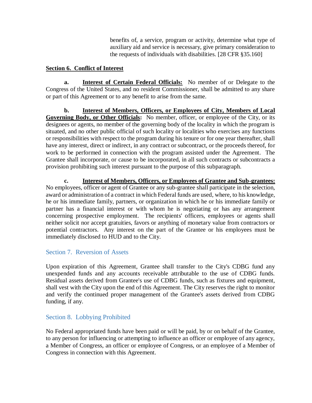benefits of, a service, program or activity, determine what type of auxiliary aid and service is necessary, give primary consideration to the requests of individuals with disabilities. [28 CFR §35.160]

### **Section 6. Conflict of Interest**

**a. Interest of Certain Federal Officials:** No member of or Delegate to the Congress of the United States, and no resident Commissioner, shall be admitted to any share or part of this Agreement or to any benefit to arise from the same.

**b. Interest of Members, Officers, or Employees of City, Members of Local Governing Body, or Other Officials:** No member, officer, or employee of the City, or its designees or agents, no member of the governing body of the locality in which the program is situated, and no other public official of such locality or localities who exercises any functions or responsibilities with respect to the program during his tenure or for one year thereafter, shall have any interest, direct or indirect, in any contract or subcontract, or the proceeds thereof, for work to be performed in connection with the program assisted under the Agreement. The Grantee shall incorporate, or cause to be incorporated, in all such contracts or subcontracts a provision prohibiting such interest pursuant to the purpose of this subparagraph.

**c. Interest of Members, Officers, or Employees of Grantee and Sub-grantees:**  No employees, officer or agent of Grantee or any sub-grantee shall participate in the selection, award or administration of a contract in which Federal funds are used, where, to his knowledge, he or his immediate family, partners, or organization in which he or his immediate family or partner has a financial interest or with whom he is negotiating or has any arrangement concerning prospective employment. The recipients' officers, employees or agents shall neither solicit nor accept gratuities, favors or anything of monetary value from contractors or potential contractors. Any interest on the part of the Grantee or his employees must be immediately disclosed to HUD and to the City.

## Section 7. Reversion of Assets

Upon expiration of this Agreement, Grantee shall transfer to the City's CDBG fund any unexpended funds and any accounts receivable attributable to the use of CDBG funds. Residual assets derived from Grantee's use of CDBG funds, such as fixtures and equipment, shall vest with the City upon the end of this Agreement. The City reserves the right to monitor and verify the continued proper management of the Grantee's assets derived from CDBG funding, if any.

## Section 8. Lobbying Prohibited

No Federal appropriated funds have been paid or will be paid, by or on behalf of the Grantee, to any person for influencing or attempting to influence an officer or employee of any agency, a Member of Congress, an officer or employee of Congress, or an employee of a Member of Congress in connection with this Agreement.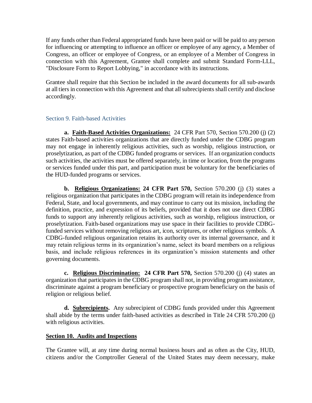If any funds other than Federal appropriated funds have been paid or will be paid to any person for influencing or attempting to influence an officer or employee of any agency, a Member of Congress, an officer or employee of Congress, or an employee of a Member of Congress in connection with this Agreement, Grantee shall complete and submit Standard Form-LLL, "Disclosure Form to Report Lobbying," in accordance with its instructions.

Grantee shall require that this Section be included in the award documents for all sub-awards at all tiers in connection with this Agreement and that all subrecipients shall certify and disclose accordingly.

### Section 9. Faith-based Activities

**a. Faith-Based Activities Organizations:** 24 CFR Part 570, Section 570.200 (j) (2) states Faith-based activities organizations that are directly funded under the CDBG program may not engage in inherently religious activities, such as worship, religious instruction, or proselytization, as part of the CDBG funded programs or services. If an organization conducts such activities, the activities must be offered separately, in time or location, from the programs or services funded under this part, and participation must be voluntary for the beneficiaries of the HUD-funded programs or services.

**b. Religious Organizations: 24 CFR Part 570,** Section 570.200 (j) (3) states a religious organization that participates in the CDBG program will retain its independence from Federal, State, and local governments, and may continue to carry out its mission, including the definition, practice, and expression of its beliefs, provided that it does not use direct CDBG funds to support any inherently religious activities, such as worship, religious instruction, or proselytization. Faith-based organizations may use space in their facilities to provide CDBGfunded services without removing religious art, icon, scriptures, or other religious symbols. A CDBG-funded religious organization retains its authority over its internal governance, and it may retain religious terms in its organization's name, select its board members on a religious basis, and include religious references in its organization's mission statements and other governing documents.

**c. Religious Discrimination: 24 CFR Part 570,** Section 570.200 (j) (4) states an organization that participates in the CDBG program shall not, in providing program assistance, discriminate against a program beneficiary or prospective program beneficiary on the basis of religion or religious belief.

**d. Subrecipients.** Any subrecipient of CDBG funds provided under this Agreement shall abide by the terms under faith-based activities as described in Title 24 CFR 570.200 (j) with religious activities.

### **Section 10. Audits and Inspections**

The Grantee will, at any time during normal business hours and as often as the City, HUD, citizens and/or the Comptroller General of the United States may deem necessary, make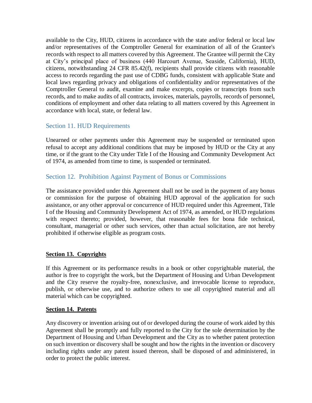available to the City, HUD, citizens in accordance with the state and/or federal or local law and/or representatives of the Comptroller General for examination of all of the Grantee's records with respect to all matters covered by this Agreement. The Grantee will permit the City at City's principal place of business (440 Harcourt Avenue, Seaside, California), HUD, citizens, notwithstanding 24 CFR 85.42(f), recipients shall provide citizens with reasonable access to records regarding the past use of CDBG funds, consistent with applicable State and local laws regarding privacy and obligations of confidentiality and/or representatives of the Comptroller General to audit, examine and make excerpts, copies or transcripts from such records, and to make audits of all contracts, invoices, materials, payrolls, records of personnel, conditions of employment and other data relating to all matters covered by this Agreement in accordance with local, state, or federal law.

## Section 11. HUD Requirements

Unearned or other payments under this Agreement may be suspended or terminated upon refusal to accept any additional conditions that may be imposed by HUD or the City at any time, or if the grant to the City under Title I of the Housing and Community Development Act of 1974, as amended from time to time, is suspended or terminated.

## Section 12. Prohibition Against Payment of Bonus or Commissions

The assistance provided under this Agreement shall not be used in the payment of any bonus or commission for the purpose of obtaining HUD approval of the application for such assistance, or any other approval or concurrence of HUD required under this Agreement, Title I of the Housing and Community Development Act of 1974, as amended, or HUD regulations with respect thereto; provided, however, that reasonable fees for bona fide technical, consultant, managerial or other such services, other than actual solicitation, are not hereby prohibited if otherwise eligible as program costs.

### **Section 13. Copyrights**

If this Agreement or its performance results in a book or other copyrightable material, the author is free to copyright the work, but the Department of Housing and Urban Development and the City reserve the royalty-free, nonexclusive, and irrevocable license to reproduce, publish, or otherwise use, and to authorize others to use all copyrighted material and all material which can be copyrighted.

#### **Section 14. Patents**

Any discovery or invention arising out of or developed during the course of work aided by this Agreement shall be promptly and fully reported to the City for the sole determination by the Department of Housing and Urban Development and the City as to whether patent protection on such invention or discovery shall be sought and how the rights in the invention or discovery including rights under any patent issued thereon, shall be disposed of and administered, in order to protect the public interest.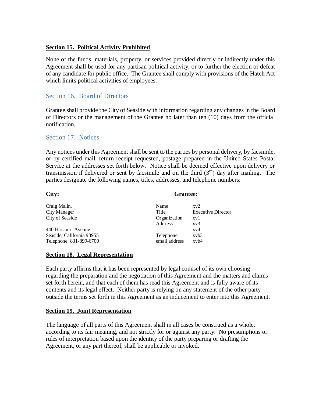#### **Section 15. Political Activity Prohibited**

None of the funds, materials, property, or services provided directly or indirectly under this Agreement shall be used for any partisan political activity, or to further the election or defeat of any candidate for public office. The Grantee shall comply with provisions of the Hatch Act which limits political activities of employees.

### Section 16. Board of Directors

Grantee shall provide the City of Seaside with information regarding any changes in the Board of Directors or the management of the Grantee no later than ten (10) days from the official notification.

#### Section 17. Notices

Any notices under this Agreement shall be sent to the parties by personal delivery, by facsimile, or by certified mail, return receipt requested, postage prepared in the United States Postal Service at the addresses set forth below. Notice shall be deemed effective upon delivery or transmission if delivered or sent by facsimile and on the third  $(3<sup>rd</sup>)$  day after mailing. The parties designate the following names, titles, addresses, and telephone numbers:

| City:                     | <b>Grantee:</b> |                           |
|---------------------------|-----------------|---------------------------|
| Craig Malin.              | Name            | $x\nu2$                   |
| <b>City Manager</b>       | Title           | <b>Executive Director</b> |
| City of Seaside           | Organization    | xv1                       |
|                           | Address         | $x\nu3$                   |
| 440 Harcourt Avenue       |                 | $x\nu4$                   |
| Seaside, California 93955 | Telephone       | xvb3                      |
| Telephone: 831-899-6700   | email address   | $x$ v $b$ 4               |

#### **Section 18. Legal Representation**

Each party affirms that it has been represented by legal counsel of its own choosing regarding the preparation and the negotiation of this Agreement and the matters and claims set forth herein, and that each of them has read this Agreement and is fully aware of its contents and its legal effect. Neither party is relying on any statement of the other party outside the terms set forth in this Agreement as an inducement to enter into this Agreement.

#### **Section 19. Joint Representation**

The language of all parts of this Agreement shall in all cases be construed as a whole, according to its fair meaning, and not strictly for or against any party. No presumptions or rules of interpretation based upon the identity of the party preparing or drafting the Agreement, or any part thereof, shall be applicable or invoked.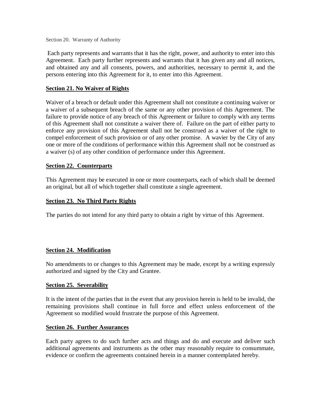Section 20. Warranty of Authority

Each party represents and warrants that it has the right, power, and authority to enter into this Agreement. Each party further represents and warrants that it has given any and all notices, and obtained any and all consents, powers, and authorities, necessary to permit it, and the persons entering into this Agreement for it, to enter into this Agreement.

#### **Section 21. No Waiver of Rights**

Waiver of a breach or default under this Agreement shall not constitute a continuing waiver or a waiver of a subsequent breach of the same or any other provision of this Agreement. The failure to provide notice of any breach of this Agreement or failure to comply with any terms of this Agreement shall not constitute a waiver there of. Failure on the part of either party to enforce any provision of this Agreement shall not be construed as a waiver of the right to compel enforcement of such provision or of any other promise. A wavier by the City of any one or more of the conditions of performance within this Agreement shall not be construed as a waiver (s) of any other condition of performance under this Agreement.

#### **Section 22. Counterparts**

This Agreement may be executed in one or more counterparts, each of which shall be deemed an original, but all of which together shall constitute a single agreement.

#### **Section 23. No Third Party Rights**

The parties do not intend for any third party to obtain a right by virtue of this Agreement.

#### **Section 24. Modification**

No amendments to or changes to this Agreement may be made, except by a writing expressly authorized and signed by the City and Grantee.

#### **Section 25. Severability**

It is the intent of the parties that in the event that any provision herein is held to be invalid, the remaining provisions shall continue in full force and effect unless enforcement of the Agreement so modified would frustrate the purpose of this Agreement.

#### **Section 26. Further Assurances**

Each party agrees to do such further acts and things and do and execute and deliver such additional agreements and instruments as the other may reasonably require to consummate, evidence or confirm the agreements contained herein in a manner contemplated hereby.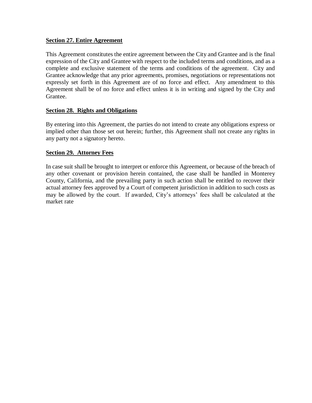#### **Section 27. Entire Agreement**

This Agreement constitutes the entire agreement between the City and Grantee and is the final expression of the City and Grantee with respect to the included terms and conditions, and as a complete and exclusive statement of the terms and conditions of the agreement. City and Grantee acknowledge that any prior agreements, promises, negotiations or representations not expressly set forth in this Agreement are of no force and effect. Any amendment to this Agreement shall be of no force and effect unless it is in writing and signed by the City and Grantee.

#### **Section 28. Rights and Obligations**

By entering into this Agreement, the parties do not intend to create any obligations express or implied other than those set out herein; further, this Agreement shall not create any rights in any party not a signatory hereto.

#### **Section 29. Attorney Fees**

In case suit shall be brought to interpret or enforce this Agreement, or because of the breach of any other covenant or provision herein contained, the case shall be handled in Monterey County, California, and the prevailing party in such action shall be entitled to recover their actual attorney fees approved by a Court of competent jurisdiction in addition to such costs as may be allowed by the court. If awarded, City's attorneys' fees shall be calculated at the market rate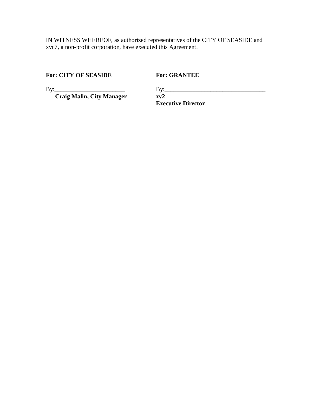IN WITNESS WHEREOF, as authorized representatives of the CITY OF SEASIDE and xvc7, a non-profit corporation, have executed this Agreement.

**For: CITY OF SEASIDE For: GRANTEE**

By: Craig Malin, City Manager **By:** 2

By:\_\_\_\_\_\_\_\_\_\_\_\_\_\_\_\_\_\_\_\_\_\_\_ By:\_\_\_\_\_\_\_\_\_\_\_\_\_\_\_\_\_\_\_\_\_\_\_\_\_\_\_\_\_\_\_\_\_ **Executive Director**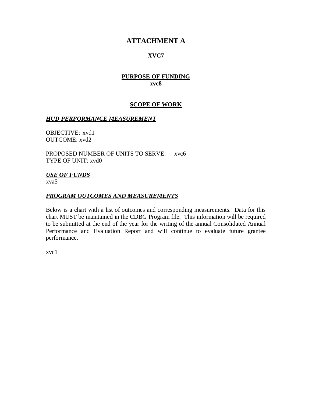## **ATTACHMENT A**

### **XVC7**

### **PURPOSE OF FUNDING xvc8**

#### **SCOPE OF WORK**

#### *HUD PERFORMANCE MEASUREMENT*

OBJECTIVE: xvd1 OUTCOME: xvd2

PROPOSED NUMBER OF UNITS TO SERVE: xvc6 TYPE OF UNIT: xvd0

## *USE OF FUNDS*

xva5

#### *PROGRAM OUTCOMES AND MEASUREMENTS*

Below is a chart with a list of outcomes and corresponding measurements. Data for this chart MUST be maintained in the CDBG Program file. This information will be required to be submitted at the end of the year for the writing of the annual Consolidated Annual Performance and Evaluation Report and will continue to evaluate future grantee performance.

xvc1